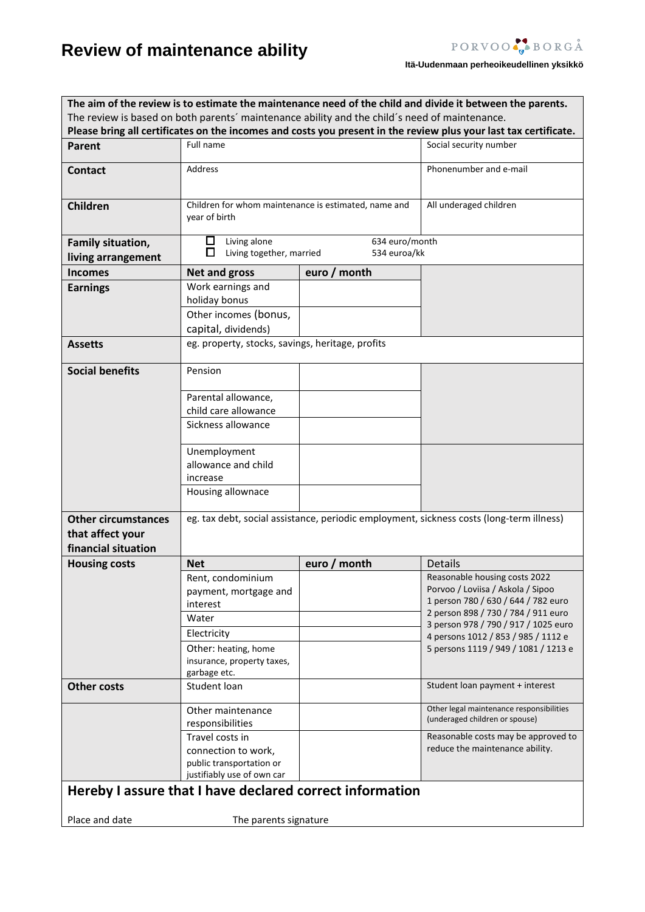# **Review of maintenance ability**

## **Itä-Uudenmaan perheoikeudellinen yksikkö**

| The aim of the review is to estimate the maintenance need of the child and divide it between the parents.                                                                                                         |                                                                                          |                                                      |                                                                            |  |  |  |  |  |
|-------------------------------------------------------------------------------------------------------------------------------------------------------------------------------------------------------------------|------------------------------------------------------------------------------------------|------------------------------------------------------|----------------------------------------------------------------------------|--|--|--|--|--|
| The review is based on both parents' maintenance ability and the child's need of maintenance.<br>Please bring all certificates on the incomes and costs you present in the review plus your last tax certificate. |                                                                                          |                                                      |                                                                            |  |  |  |  |  |
|                                                                                                                                                                                                                   | Full name                                                                                |                                                      | Social security number                                                     |  |  |  |  |  |
| Parent                                                                                                                                                                                                            |                                                                                          |                                                      |                                                                            |  |  |  |  |  |
| <b>Contact</b>                                                                                                                                                                                                    | Address                                                                                  |                                                      | Phonenumber and e-mail                                                     |  |  |  |  |  |
|                                                                                                                                                                                                                   |                                                                                          |                                                      |                                                                            |  |  |  |  |  |
| Children                                                                                                                                                                                                          |                                                                                          | Children for whom maintenance is estimated, name and | All underaged children                                                     |  |  |  |  |  |
|                                                                                                                                                                                                                   | year of birth                                                                            |                                                      |                                                                            |  |  |  |  |  |
| Family situation,                                                                                                                                                                                                 | $\Box^-$<br>Living alone                                                                 | 634 euro/month                                       |                                                                            |  |  |  |  |  |
| living arrangement                                                                                                                                                                                                | □<br>Living together, married                                                            | 534 euroa/kk                                         |                                                                            |  |  |  |  |  |
| <b>Incomes</b>                                                                                                                                                                                                    | <b>Net and gross</b>                                                                     | euro / month                                         |                                                                            |  |  |  |  |  |
| <b>Earnings</b>                                                                                                                                                                                                   | Work earnings and                                                                        |                                                      |                                                                            |  |  |  |  |  |
|                                                                                                                                                                                                                   | holiday bonus                                                                            |                                                      |                                                                            |  |  |  |  |  |
|                                                                                                                                                                                                                   | Other incomes (bonus,                                                                    |                                                      |                                                                            |  |  |  |  |  |
|                                                                                                                                                                                                                   | capital, dividends)                                                                      |                                                      |                                                                            |  |  |  |  |  |
| <b>Assetts</b>                                                                                                                                                                                                    | eg. property, stocks, savings, heritage, profits                                         |                                                      |                                                                            |  |  |  |  |  |
| <b>Social benefits</b>                                                                                                                                                                                            | Pension                                                                                  |                                                      |                                                                            |  |  |  |  |  |
|                                                                                                                                                                                                                   | Parental allowance,                                                                      |                                                      |                                                                            |  |  |  |  |  |
|                                                                                                                                                                                                                   | child care allowance                                                                     |                                                      |                                                                            |  |  |  |  |  |
|                                                                                                                                                                                                                   | Sickness allowance                                                                       |                                                      |                                                                            |  |  |  |  |  |
|                                                                                                                                                                                                                   |                                                                                          |                                                      |                                                                            |  |  |  |  |  |
|                                                                                                                                                                                                                   | Unemployment                                                                             |                                                      |                                                                            |  |  |  |  |  |
|                                                                                                                                                                                                                   | allowance and child                                                                      |                                                      |                                                                            |  |  |  |  |  |
|                                                                                                                                                                                                                   | increase                                                                                 |                                                      |                                                                            |  |  |  |  |  |
|                                                                                                                                                                                                                   | Housing allownace                                                                        |                                                      |                                                                            |  |  |  |  |  |
| <b>Other circumstances</b>                                                                                                                                                                                        | eg. tax debt, social assistance, periodic employment, sickness costs (long-term illness) |                                                      |                                                                            |  |  |  |  |  |
| that affect your                                                                                                                                                                                                  |                                                                                          |                                                      |                                                                            |  |  |  |  |  |
| financial situation                                                                                                                                                                                               |                                                                                          |                                                      |                                                                            |  |  |  |  |  |
| <b>Housing costs</b>                                                                                                                                                                                              | <b>Net</b>                                                                               | euro / month                                         | <b>Details</b>                                                             |  |  |  |  |  |
|                                                                                                                                                                                                                   | Rent, condominium                                                                        |                                                      | Reasonable housing costs 2022                                              |  |  |  |  |  |
|                                                                                                                                                                                                                   | payment, mortgage and                                                                    |                                                      | Porvoo / Loviisa / Askola / Sipoo                                          |  |  |  |  |  |
|                                                                                                                                                                                                                   | interest                                                                                 |                                                      | 1 person 780 / 630 / 644 / 782 euro<br>2 person 898 / 730 / 784 / 911 euro |  |  |  |  |  |
|                                                                                                                                                                                                                   | Water                                                                                    |                                                      | 3 person 978 / 790 / 917 / 1025 euro                                       |  |  |  |  |  |
|                                                                                                                                                                                                                   | Electricity                                                                              |                                                      | 4 persons 1012 / 853 / 985 / 1112 e                                        |  |  |  |  |  |
|                                                                                                                                                                                                                   | Other: heating, home                                                                     |                                                      | 5 persons 1119 / 949 / 1081 / 1213 e                                       |  |  |  |  |  |
|                                                                                                                                                                                                                   | insurance, property taxes,                                                               |                                                      |                                                                            |  |  |  |  |  |
| <b>Other costs</b>                                                                                                                                                                                                | garbage etc.<br>Student loan                                                             |                                                      | Student loan payment + interest                                            |  |  |  |  |  |
|                                                                                                                                                                                                                   |                                                                                          |                                                      |                                                                            |  |  |  |  |  |
|                                                                                                                                                                                                                   | Other maintenance                                                                        |                                                      | Other legal maintenance responsibilities<br>(underaged children or spouse) |  |  |  |  |  |
|                                                                                                                                                                                                                   | responsibilities                                                                         |                                                      |                                                                            |  |  |  |  |  |
|                                                                                                                                                                                                                   | Travel costs in                                                                          |                                                      | Reasonable costs may be approved to<br>reduce the maintenance ability.     |  |  |  |  |  |
|                                                                                                                                                                                                                   | connection to work,<br>public transportation or                                          |                                                      |                                                                            |  |  |  |  |  |
|                                                                                                                                                                                                                   | justifiably use of own car                                                               |                                                      |                                                                            |  |  |  |  |  |
| Hereby I assure that I have declared correct information                                                                                                                                                          |                                                                                          |                                                      |                                                                            |  |  |  |  |  |
|                                                                                                                                                                                                                   |                                                                                          |                                                      |                                                                            |  |  |  |  |  |
| Place and date                                                                                                                                                                                                    | The parents signature                                                                    |                                                      |                                                                            |  |  |  |  |  |